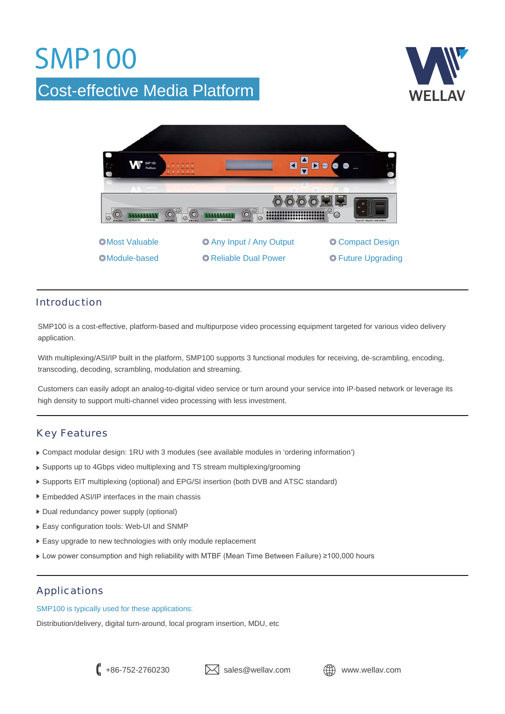## **SMP100**

### Cost-effective Media Platform





#### Introduction

SMP100 is a cost-effective, platform-based and multipurpose video processing equipment targeted for various video delivery application.

With multiplexing/ASI/IP built in the platform, SMP100 supports 3 functional modules for receiving, de-scrambling, encoding, transcoding, decoding, scrambling, modulation and streaming.

Customers can easily adopt an analog-to-digital video service or turn around your service into IP-based network or leverage its high density to support multi-channel video processing with less investment.

#### Key Features

- Compact modular design: 1RU with 3 modules (see available modules in 'ordering information')
- Supports up to 4Gbps video multiplexing and TS stream multiplexing/grooming
- Supports EIT multiplexing (optional) and EPG/SI insertion (both DVB and ATSC standard)
- ▶ Embedded ASI/IP interfaces in the main chassis
- Dual redundancy power supply (optional)
- Easy configuration tools: Web-UI and SNMP
- Easy upgrade to new technologies with only module replacement
- $\blacktriangleright$  Low power consumption and high reliability with MTBF (Mean Time Between Failure) ≥100,000 hours

#### Applications

SMP100 is typically used for these applications:

Distribution/delivery, digital turn-around, local program insertion, MDU, etc



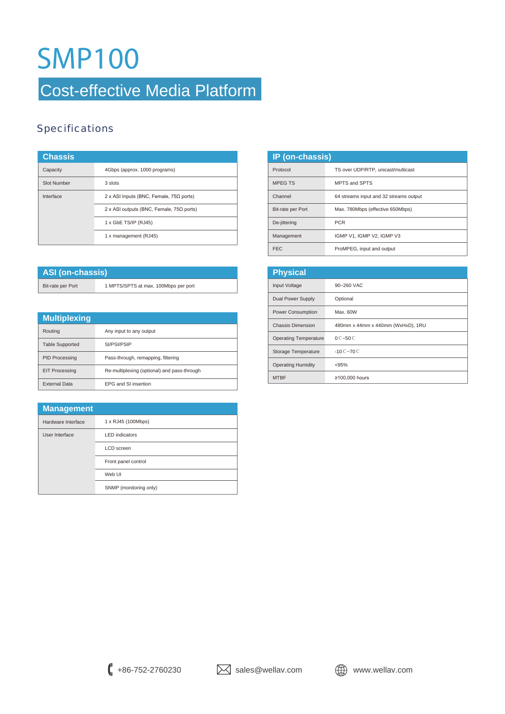## **SMP100**

### Cost-effective Media Platform

### **Specifications**

| <b>Chassis</b>     |                                                 |
|--------------------|-------------------------------------------------|
| Capacity           | 4Gbps (approx. 1000 programs)                   |
| <b>Slot Number</b> | 3 slots                                         |
| Interface          | 2 x ASI Inputs (BNC, Female, $75\Omega$ ports)  |
|                    | 2 x ASI outputs (BNC, Female, $75\Omega$ ports) |
|                    | 1 x GbE TS/IP (RJ45)                            |
|                    | 1 x management (RJ45)                           |

| ASI (on-chassis)  |                                      |
|-------------------|--------------------------------------|
| Bit-rate per Port | 1 MPTS/SPTS at max. 100Mbps per port |

| <b>Multiplexing</b>    |                                             |
|------------------------|---------------------------------------------|
| Routina                | Any input to any output                     |
| <b>Table Supported</b> | SI/PSI/PSIP                                 |
| <b>PID Processing</b>  | Pass-through, remapping, filtering          |
| <b>EIT Processing</b>  | Re-multiplexing (optional) and pass-through |
| <b>External Data</b>   | EPG and SI insertion                        |

| <b>Management</b>  |                        |
|--------------------|------------------------|
| Hardware Interface | 1 x RJ45 (100Mbps)     |
| User Interface     | <b>LED</b> indicators  |
|                    | LCD screen             |
|                    | Front panel control    |
|                    | Web UI                 |
|                    | SNMP (monitoring only) |

| <b>IP</b> (on-chassis) |                                        |
|------------------------|----------------------------------------|
| Protocol               | TS over UDP/RTP, unicast/multicast     |
| <b>MPEGTS</b>          | MPTS and SPTS                          |
| Channel                | 64 streams input and 32 streams output |
| Bit-rate per Port      | Max. 780Mbps (effective 650Mbps)       |
| De-jittering           | <b>PCR</b>                             |
| Management             | IGMP V1. IGMP V2. IGMP V3              |
| <b>FEC</b>             | ProMPEG, input and output              |

| <b>Physical</b>              |                                   |  |
|------------------------------|-----------------------------------|--|
| Input Voltage                | 90~260 VAC                        |  |
| Dual Power Supply            | Optional                          |  |
| <b>Power Consumption</b>     | Max. 60W                          |  |
| <b>Chassis Dimension</b>     | 480mm x 44mm x 440mm (WxHxD), 1RU |  |
| <b>Operating Temperature</b> | $0^\circ$ $\sim$ 50 $\circ$       |  |
| Storage Temperature          | $-10^\circ$ C $-70^\circ$ C       |  |
| <b>Operating Humidity</b>    | < 95%                             |  |
| <b>MTBF</b>                  | ≥100,000 hours                    |  |